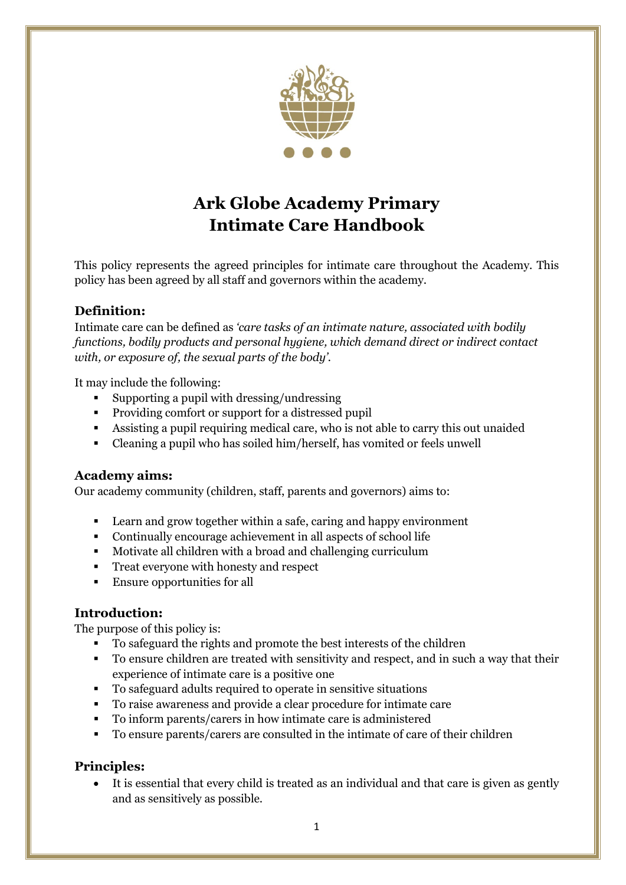

# **Ark Globe Academy Primary Intimate Care Handbook**

This policy represents the agreed principles for intimate care throughout the Academy. This policy has been agreed by all staff and governors within the academy.

# **Definition:**

Intimate care can be defined as *'care tasks of an intimate nature, associated with bodily functions, bodily products and personal hygiene, which demand direct or indirect contact with, or exposure of, the sexual parts of the body'.*

It may include the following:

- Supporting a pupil with dressing/undressing
- Providing comfort or support for a distressed pupil
- Assisting a pupil requiring medical care, who is not able to carry this out unaided
- Cleaning a pupil who has soiled him/herself, has vomited or feels unwell

#### **Academy aims:**

Our academy community (children, staff, parents and governors) aims to:

- Learn and grow together within a safe, caring and happy environment
- Continually encourage achievement in all aspects of school life
- Motivate all children with a broad and challenging curriculum
- Treat everyone with honesty and respect
- Ensure opportunities for all

#### **Introduction:**

The purpose of this policy is:

- To safeguard the rights and promote the best interests of the children
- To ensure children are treated with sensitivity and respect, and in such a way that their experience of intimate care is a positive one
- To safeguard adults required to operate in sensitive situations
- To raise awareness and provide a clear procedure for intimate care
- To inform parents/carers in how intimate care is administered
- To ensure parents/carers are consulted in the intimate of care of their children

#### **Principles:**

• It is essential that every child is treated as an individual and that care is given as gently and as sensitively as possible.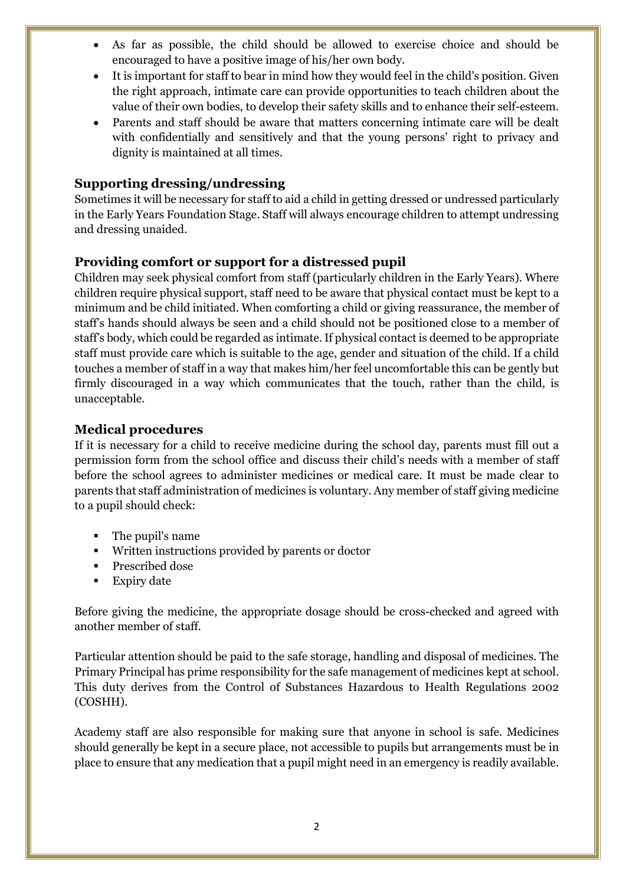- As far as possible, the child should be allowed to exercise choice and should be encouraged to have a positive image of his/her own body.
- It is important for staff to bear in mind how they would feel in the child's position. Given the right approach, intimate care can provide opportunities to teach children about the value of their own bodies, to develop their safety skills and to enhance their self-esteem.
- Parents and staff should be aware that matters concerning intimate care will be dealt with confidentially and sensitively and that the young persons' right to privacy and dignity is maintained at all times.

## **Supporting dressing/undressing**

Sometimes it will be necessary for staff to aid a child in getting dressed or undressed particularly in the Early Years Foundation Stage. Staff will always encourage children to attempt undressing and dressing unaided.

## **Providing comfort or support for a distressed pupil**

Children may seek physical comfort from staff (particularly children in the Early Years). Where children require physical support, staff need to be aware that physical contact must be kept to a minimum and be child initiated. When comforting a child or giving reassurance, the member of staff's hands should always be seen and a child should not be positioned close to a member of staff's body, which could be regarded as intimate. If physical contact is deemed to be appropriate staff must provide care which is suitable to the age, gender and situation of the child. If a child touches a member of staff in a way that makes him/her feel uncomfortable this can be gently but firmly discouraged in a way which communicates that the touch, rather than the child, is unacceptable.

#### **Medical procedures**

If it is necessary for a child to receive medicine during the school day, parents must fill out a permission form from the school office and discuss their child's needs with a member of staff before the school agrees to administer medicines or medical care. It must be made clear to parents that staff administration of medicines is voluntary. Any member of staff giving medicine to a pupil should check:

- The pupil's name
- Written instructions provided by parents or doctor
- Prescribed dose
- **Expiry date**

Before giving the medicine, the appropriate dosage should be cross-checked and agreed with another member of staff.

Particular attention should be paid to the safe storage, handling and disposal of medicines. The Primary Principal has prime responsibility for the safe management of medicines kept at school. This duty derives from the Control of Substances Hazardous to Health Regulations 2002 (COSHH).

Academy staff are also responsible for making sure that anyone in school is safe. Medicines should generally be kept in a secure place, not accessible to pupils but arrangements must be in place to ensure that any medication that a pupil might need in an emergency is readily available.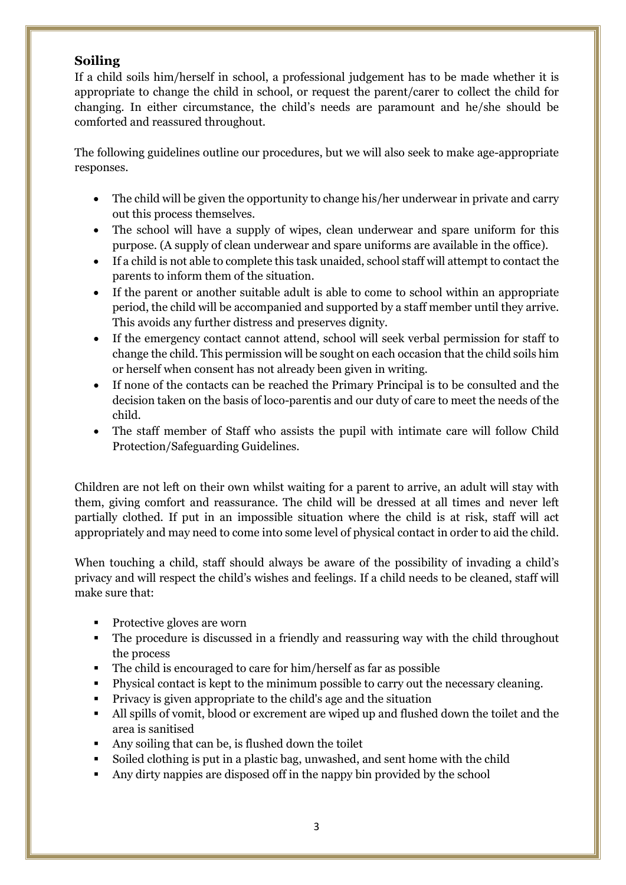# **Soiling**

If a child soils him/herself in school, a professional judgement has to be made whether it is appropriate to change the child in school, or request the parent/carer to collect the child for changing. In either circumstance, the child's needs are paramount and he/she should be comforted and reassured throughout.

The following guidelines outline our procedures, but we will also seek to make age-appropriate responses.

- The child will be given the opportunity to change his/her underwear in private and carry out this process themselves.
- The school will have a supply of wipes, clean underwear and spare uniform for this purpose. (A supply of clean underwear and spare uniforms are available in the office).
- If a child is not able to complete this task unaided, school staff will attempt to contact the parents to inform them of the situation.
- If the parent or another suitable adult is able to come to school within an appropriate period, the child will be accompanied and supported by a staff member until they arrive. This avoids any further distress and preserves dignity.
- If the emergency contact cannot attend, school will seek verbal permission for staff to change the child. This permission will be sought on each occasion that the child soils him or herself when consent has not already been given in writing.
- If none of the contacts can be reached the Primary Principal is to be consulted and the decision taken on the basis of loco-parentis and our duty of care to meet the needs of the child.
- The staff member of Staff who assists the pupil with intimate care will follow Child Protection/Safeguarding Guidelines.

Children are not left on their own whilst waiting for a parent to arrive, an adult will stay with them, giving comfort and reassurance. The child will be dressed at all times and never left partially clothed. If put in an impossible situation where the child is at risk, staff will act appropriately and may need to come into some level of physical contact in order to aid the child.

When touching a child, staff should always be aware of the possibility of invading a child's privacy and will respect the child's wishes and feelings. If a child needs to be cleaned, staff will make sure that:

- Protective gloves are worn
- The procedure is discussed in a friendly and reassuring way with the child throughout the process
- The child is encouraged to care for him/herself as far as possible
- Physical contact is kept to the minimum possible to carry out the necessary cleaning.
- Privacy is given appropriate to the child's age and the situation
- All spills of vomit, blood or excrement are wiped up and flushed down the toilet and the area is sanitised
- Any soiling that can be, is flushed down the toilet
- Soiled clothing is put in a plastic bag, unwashed, and sent home with the child
- Any dirty nappies are disposed off in the nappy bin provided by the school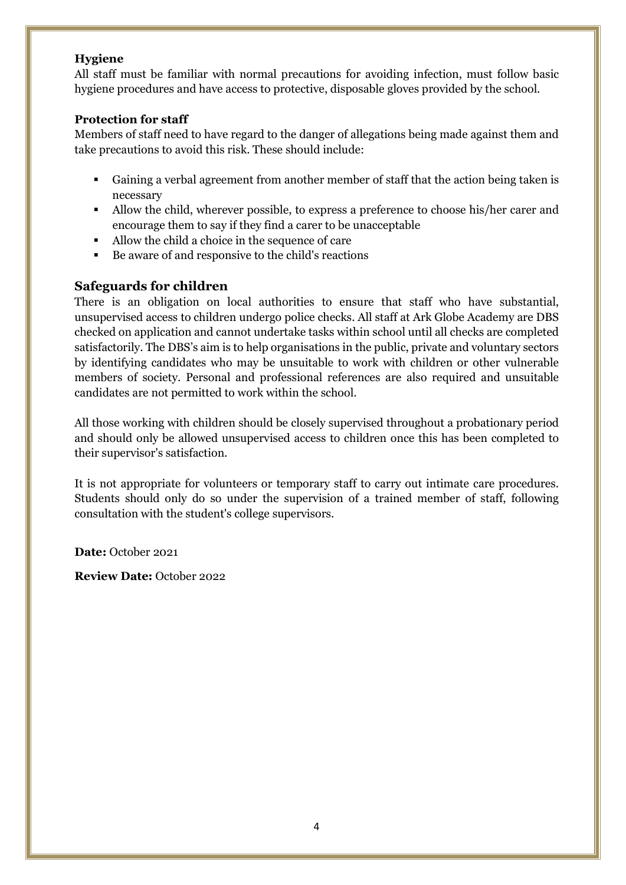#### **Hygiene**

All staff must be familiar with normal precautions for avoiding infection, must follow basic hygiene procedures and have access to protective, disposable gloves provided by the school.

#### **Protection for staff**

Members of staff need to have regard to the danger of allegations being made against them and take precautions to avoid this risk. These should include:

- Gaining a verbal agreement from another member of staff that the action being taken is necessary
- Allow the child, wherever possible, to express a preference to choose his/her carer and encourage them to say if they find a carer to be unacceptable
- Allow the child a choice in the sequence of care
- Be aware of and responsive to the child's reactions

## **Safeguards for children**

There is an obligation on local authorities to ensure that staff who have substantial, unsupervised access to children undergo police checks. All staff at Ark Globe Academy are DBS checked on application and cannot undertake tasks within school until all checks are completed satisfactorily. The DBS's aim is to help organisations in the public, private and voluntary sectors by identifying candidates who may be unsuitable to work with children or other vulnerable members of society. Personal and professional references are also required and unsuitable candidates are not permitted to work within the school.

All those working with children should be closely supervised throughout a probationary period and should only be allowed unsupervised access to children once this has been completed to their supervisor's satisfaction.

It is not appropriate for volunteers or temporary staff to carry out intimate care procedures. Students should only do so under the supervision of a trained member of staff, following consultation with the student's college supervisors.

**Date:** October 2021

**Review Date:** October 2022